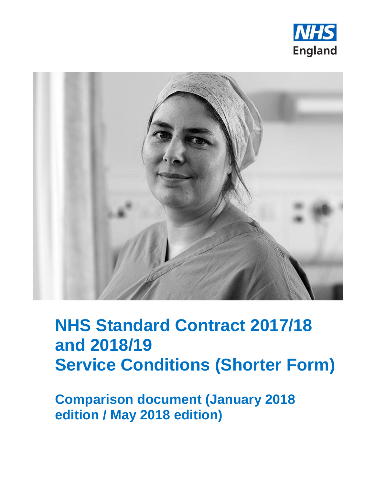



# **NHS Standard Contract 2017/18 and 2018/19 Service Conditions (Shorter Form)**

**Comparison document (January 2018 edition / May 2018 edition)**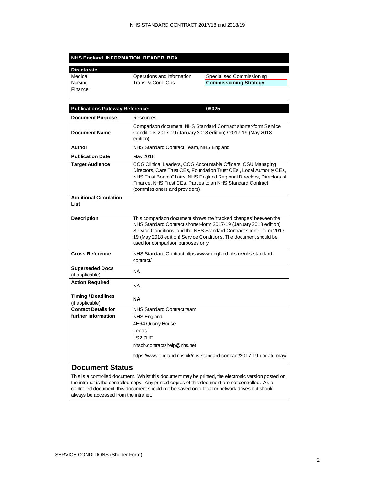#### **NHS England INFORMATION READER BOX**

| <b>Directorate</b> |                            |                               |
|--------------------|----------------------------|-------------------------------|
| Medical            | Operations and Information | Specialised Commissioning     |
| Nursing            | Trans. & Corp. Ops.        | <b>Commissioning Strategy</b> |
| Finance            |                            |                               |
|                    |                            |                               |

| <b>Publications Gateway Reference:</b>       | 08025                                                                                                                                                                                                                                                                                                                   |
|----------------------------------------------|-------------------------------------------------------------------------------------------------------------------------------------------------------------------------------------------------------------------------------------------------------------------------------------------------------------------------|
| <b>Document Purpose</b>                      | Resources                                                                                                                                                                                                                                                                                                               |
| <b>Document Name</b>                         | Comparison document: NHS Standard Contract shorter-form Service<br>Conditions 2017-19 (January 2018 edition) / 2017-19 (May 2018<br>edition)                                                                                                                                                                            |
| Author                                       | NHS Standard Contract Team, NHS England                                                                                                                                                                                                                                                                                 |
| <b>Publication Date</b>                      | May 2018                                                                                                                                                                                                                                                                                                                |
| <b>Target Audience</b>                       | CCG Clinical Leaders, CCG Accountable Officers, CSU Managing<br>Directors, Care Trust CEs, Foundation Trust CEs, Local Authority CEs,<br>NHS Trust Board Chairs, NHS England Regional Directors, Directors of<br>Finance, NHS Trust CEs, Parties to an NHS Standard Contract<br>(commissioners and providers)           |
| <b>Additional Circulation</b><br>List        |                                                                                                                                                                                                                                                                                                                         |
| <b>Description</b>                           | This comparison document shows the 'tracked changes' between the<br>NHS Standard Contract shorter-form 2017-19 (January 2018 edition)<br>Service Conditions, and the NHS Standard Contract shorter-form 2017-<br>19 (May 2018 edition) Service Conditions. The document should be<br>used for comparison purposes only. |
| <b>Cross Reference</b>                       | NHS Standard Contract https://www.england.nhs.uk/nhs-standard-<br>contract/                                                                                                                                                                                                                                             |
| <b>Superseded Docs</b><br>(if applicable)    | NA                                                                                                                                                                                                                                                                                                                      |
| <b>Action Required</b>                       | <b>NA</b>                                                                                                                                                                                                                                                                                                               |
| <b>Timing / Deadlines</b><br>(if applicable) | NA                                                                                                                                                                                                                                                                                                                      |
| <b>Contact Details for</b>                   | NHS Standard Contract team                                                                                                                                                                                                                                                                                              |
| further information                          | <b>NHS England</b>                                                                                                                                                                                                                                                                                                      |
|                                              | 4E64 Quarry House                                                                                                                                                                                                                                                                                                       |
|                                              | Leeds                                                                                                                                                                                                                                                                                                                   |
|                                              | LS2 7UE                                                                                                                                                                                                                                                                                                                 |
|                                              | nhscb.contractshelp@nhs.net                                                                                                                                                                                                                                                                                             |
|                                              | https://www.england.nhs.uk/nhs-standard-contract/2017-19-update-may/                                                                                                                                                                                                                                                    |
| <b>Document Status</b>                       |                                                                                                                                                                                                                                                                                                                         |
|                                              | This is a controlled decument. Whilet this decument may be printed, the electronic version posted on                                                                                                                                                                                                                    |

This is a controlled document. Whilst this document may be printed, the electronic version posted on the intranet is the controlled copy. Any printed copies of this document are not controlled. As a controlled document, this document should not be saved onto local or network drives but should always be accessed from the intranet.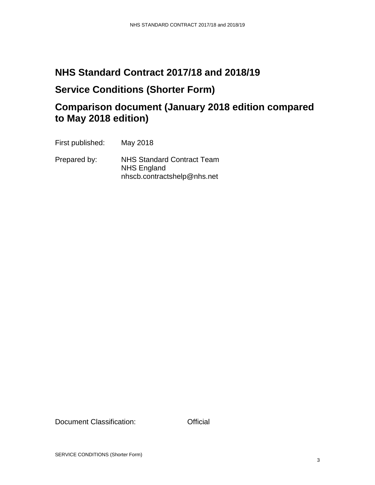# **NHS Standard Contract 2017/18 and 2018/19**

### **Service Conditions (Shorter Form)**

## **Comparison document (January 2018 edition compared to May 2018 edition)**

First published: May 2018

Prepared by: NHS Standard Contract Team NHS England nhscb.contractshelp@nhs.net

Document Classification: **Official**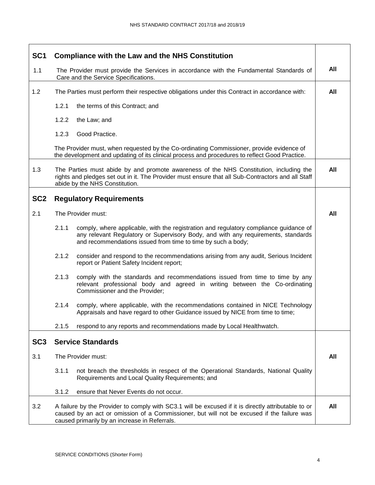| SC <sub>1</sub> |       | <b>Compliance with the Law and the NHS Constitution</b>                                                                                                                                                                                            |     |
|-----------------|-------|----------------------------------------------------------------------------------------------------------------------------------------------------------------------------------------------------------------------------------------------------|-----|
| 1.1             |       | The Provider must provide the Services in accordance with the Fundamental Standards of<br>Care and the Service Specifications.                                                                                                                     | All |
| 1.2             |       | The Parties must perform their respective obligations under this Contract in accordance with:                                                                                                                                                      | All |
|                 | 1.2.1 | the terms of this Contract; and                                                                                                                                                                                                                    |     |
|                 | 1.2.2 | the Law; and                                                                                                                                                                                                                                       |     |
|                 | 1.2.3 | Good Practice.                                                                                                                                                                                                                                     |     |
|                 |       | The Provider must, when requested by the Co-ordinating Commissioner, provide evidence of<br>the development and updating of its clinical process and procedures to reflect Good Practice.                                                          |     |
| 1.3             |       | The Parties must abide by and promote awareness of the NHS Constitution, including the<br>rights and pledges set out in it. The Provider must ensure that all Sub-Contractors and all Staff<br>abide by the NHS Constitution.                      | All |
| SC <sub>2</sub> |       | <b>Regulatory Requirements</b>                                                                                                                                                                                                                     |     |
| 2.1             |       | The Provider must:                                                                                                                                                                                                                                 | All |
|                 | 2.1.1 | comply, where applicable, with the registration and regulatory compliance guidance of<br>any relevant Regulatory or Supervisory Body, and with any requirements, standards<br>and recommendations issued from time to time by such a body;         |     |
|                 | 2.1.2 | consider and respond to the recommendations arising from any audit, Serious Incident<br>report or Patient Safety Incident report;                                                                                                                  |     |
|                 | 2.1.3 | comply with the standards and recommendations issued from time to time by any<br>relevant professional body and agreed in writing between the Co-ordinating<br>Commissioner and the Provider;                                                      |     |
|                 | 2.1.4 | comply, where applicable, with the recommendations contained in NICE Technology<br>Appraisals and have regard to other Guidance issued by NICE from time to time;                                                                                  |     |
|                 | 2.1.5 | respond to any reports and recommendations made by Local Healthwatch.                                                                                                                                                                              |     |
| SC <sub>3</sub> |       | <b>Service Standards</b>                                                                                                                                                                                                                           |     |
| 3.1             |       | The Provider must:                                                                                                                                                                                                                                 | All |
|                 | 3.1.1 | not breach the thresholds in respect of the Operational Standards, National Quality<br>Requirements and Local Quality Requirements; and                                                                                                            |     |
|                 | 3.1.2 | ensure that Never Events do not occur.                                                                                                                                                                                                             |     |
| 3.2             |       | A failure by the Provider to comply with SC3.1 will be excused if it is directly attributable to or<br>caused by an act or omission of a Commissioner, but will not be excused if the failure was<br>caused primarily by an increase in Referrals. | All |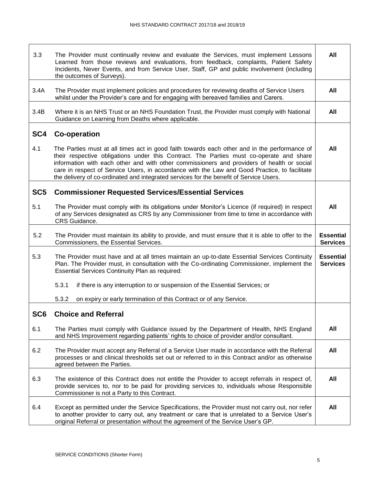| 3.3             | The Provider must continually review and evaluate the Services, must implement Lessons<br>Learned from those reviews and evaluations, from feedback, complaints, Patient Safety<br>Incidents, Never Events, and from Service User, Staff, GP and public involvement (including<br>the outcomes of Surveys).                                                                                                                                                                      | All                                 |
|-----------------|----------------------------------------------------------------------------------------------------------------------------------------------------------------------------------------------------------------------------------------------------------------------------------------------------------------------------------------------------------------------------------------------------------------------------------------------------------------------------------|-------------------------------------|
| 3.4A            | The Provider must implement policies and procedures for reviewing deaths of Service Users<br>whilst under the Provider's care and for engaging with bereaved families and Carers.                                                                                                                                                                                                                                                                                                | All                                 |
| 3.4B            | Where it is an NHS Trust or an NHS Foundation Trust, the Provider must comply with National<br>Guidance on Learning from Deaths where applicable.                                                                                                                                                                                                                                                                                                                                | All                                 |
| SC4             | <b>Co-operation</b>                                                                                                                                                                                                                                                                                                                                                                                                                                                              |                                     |
| 4.1             | The Parties must at all times act in good faith towards each other and in the performance of<br>their respective obligations under this Contract. The Parties must co-operate and share<br>information with each other and with other commissioners and providers of health or social<br>care in respect of Service Users, in accordance with the Law and Good Practice, to facilitate<br>the delivery of co-ordinated and integrated services for the benefit of Service Users. | All                                 |
| SC <sub>5</sub> | <b>Commissioner Requested Services/Essential Services</b>                                                                                                                                                                                                                                                                                                                                                                                                                        |                                     |
| 5.1             | The Provider must comply with its obligations under Monitor's Licence (if required) in respect<br>of any Services designated as CRS by any Commissioner from time to time in accordance with<br>CRS Guidance.                                                                                                                                                                                                                                                                    | All                                 |
| 5.2             | The Provider must maintain its ability to provide, and must ensure that it is able to offer to the<br>Commissioners, the Essential Services.                                                                                                                                                                                                                                                                                                                                     | <b>Essential</b><br><b>Services</b> |
| 5.3             | The Provider must have and at all times maintain an up-to-date Essential Services Continuity<br>Plan. The Provider must, in consultation with the Co-ordinating Commissioner, implement the<br><b>Essential Services Continuity Plan as required:</b>                                                                                                                                                                                                                            | <b>Essential</b><br><b>Services</b> |
|                 | 5.3.1<br>if there is any interruption to or suspension of the Essential Services; or                                                                                                                                                                                                                                                                                                                                                                                             |                                     |
|                 | 5.3.2<br>on expiry or early termination of this Contract or of any Service.                                                                                                                                                                                                                                                                                                                                                                                                      |                                     |
| SC <sub>6</sub> | <b>Choice and Referral</b>                                                                                                                                                                                                                                                                                                                                                                                                                                                       |                                     |
| 6.1             | The Parties must comply with Guidance issued by the Department of Health, NHS England<br>and NHS Improvement regarding patients' rights to choice of provider and/or consultant.                                                                                                                                                                                                                                                                                                 | All                                 |
| 6.2             | The Provider must accept any Referral of a Service User made in accordance with the Referral<br>processes or and clinical thresholds set out or referred to in this Contract and/or as otherwise<br>agreed between the Parties.                                                                                                                                                                                                                                                  | All                                 |
| 6.3             | The existence of this Contract does not entitle the Provider to accept referrals in respect of,<br>provide services to, nor to be paid for providing services to, individuals whose Responsible<br>Commissioner is not a Party to this Contract.                                                                                                                                                                                                                                 | All                                 |
| 6.4             | Except as permitted under the Service Specifications, the Provider must not carry out, nor refer<br>to another provider to carry out, any treatment or care that is unrelated to a Service User's<br>original Referral or presentation without the agreement of the Service User's GP.                                                                                                                                                                                           | All                                 |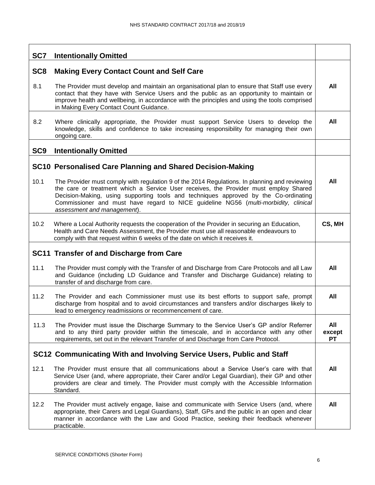| SC7             | <b>Intentionally Omitted</b>                                                                                                                                                                                                                                                                                                                                                                        |                            |
|-----------------|-----------------------------------------------------------------------------------------------------------------------------------------------------------------------------------------------------------------------------------------------------------------------------------------------------------------------------------------------------------------------------------------------------|----------------------------|
| SC <sub>8</sub> | <b>Making Every Contact Count and Self Care</b>                                                                                                                                                                                                                                                                                                                                                     |                            |
| 8.1             | The Provider must develop and maintain an organisational plan to ensure that Staff use every<br>contact that they have with Service Users and the public as an opportunity to maintain or<br>improve health and wellbeing, in accordance with the principles and using the tools comprised<br>in Making Every Contact Count Guidance.                                                               | All                        |
| 8.2             | Where clinically appropriate, the Provider must support Service Users to develop the<br>knowledge, skills and confidence to take increasing responsibility for managing their own<br>ongoing care.                                                                                                                                                                                                  | All                        |
| SC <sub>9</sub> | <b>Intentionally Omitted</b>                                                                                                                                                                                                                                                                                                                                                                        |                            |
|                 | SC10 Personalised Care Planning and Shared Decision-Making                                                                                                                                                                                                                                                                                                                                          |                            |
| 10.1            | The Provider must comply with regulation 9 of the 2014 Regulations. In planning and reviewing<br>the care or treatment which a Service User receives, the Provider must employ Shared<br>Decision-Making, using supporting tools and techniques approved by the Co-ordinating<br>Commissioner and must have regard to NICE guideline NG56 (multi-morbidity, clinical<br>assessment and management). | All                        |
| 10.2            | Where a Local Authority requests the cooperation of the Provider in securing an Education,<br>Health and Care Needs Assessment, the Provider must use all reasonable endeavours to<br>comply with that request within 6 weeks of the date on which it receives it.                                                                                                                                  | CS, MH                     |
|                 | <b>SC11 Transfer of and Discharge from Care</b>                                                                                                                                                                                                                                                                                                                                                     |                            |
| 11.1            | The Provider must comply with the Transfer of and Discharge from Care Protocols and all Law<br>and Guidance (including LD Guidance and Transfer and Discharge Guidance) relating to<br>transfer of and discharge from care.                                                                                                                                                                         | All                        |
| 11.2            | The Provider and each Commissioner must use its best efforts to support safe, prompt<br>discharge from hospital and to avoid circumstances and transfers and/or discharges likely to<br>lead to emergency readmissions or recommencement of care.                                                                                                                                                   | All                        |
| 11.3            | The Provider must issue the Discharge Summary to the Service User's GP and/or Referrer<br>and to any third party provider within the timescale, and in accordance with any other<br>requirements, set out in the relevant Transfer of and Discharge from Care Protocol.                                                                                                                             | All<br>except<br><b>PT</b> |
|                 | SC12 Communicating With and Involving Service Users, Public and Staff                                                                                                                                                                                                                                                                                                                               |                            |
| 12.1            | The Provider must ensure that all communications about a Service User's care with that<br>Service User (and, where appropriate, their Carer and/or Legal Guardian), their GP and other<br>providers are clear and timely. The Provider must comply with the Accessible Information<br>Standard.                                                                                                     | All                        |
| 12.2            | The Provider must actively engage, liaise and communicate with Service Users (and, where<br>appropriate, their Carers and Legal Guardians), Staff, GPs and the public in an open and clear<br>manner in accordance with the Law and Good Practice, seeking their feedback whenever<br>practicable.                                                                                                  | All                        |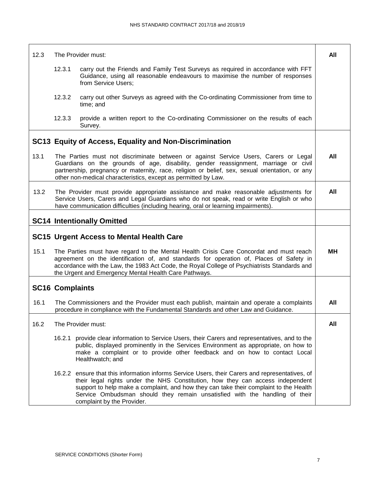| 12.3 |                        | The Provider must:                                                                                                                                                                                                                                                                                                                                                                      | All |
|------|------------------------|-----------------------------------------------------------------------------------------------------------------------------------------------------------------------------------------------------------------------------------------------------------------------------------------------------------------------------------------------------------------------------------------|-----|
|      | 12.3.1                 | carry out the Friends and Family Test Surveys as required in accordance with FFT<br>Guidance, using all reasonable endeavours to maximise the number of responses<br>from Service Users;                                                                                                                                                                                                |     |
|      | 12.3.2                 | carry out other Surveys as agreed with the Co-ordinating Commissioner from time to<br>time; and                                                                                                                                                                                                                                                                                         |     |
|      | 12.3.3                 | provide a written report to the Co-ordinating Commissioner on the results of each<br>Survey.                                                                                                                                                                                                                                                                                            |     |
|      |                        | SC13 Equity of Access, Equality and Non-Discrimination                                                                                                                                                                                                                                                                                                                                  |     |
| 13.1 |                        | The Parties must not discriminate between or against Service Users, Carers or Legal<br>Guardians on the grounds of age, disability, gender reassignment, marriage or civil<br>partnership, pregnancy or maternity, race, religion or belief, sex, sexual orientation, or any<br>other non-medical characteristics, except as permitted by Law.                                          | All |
| 13.2 |                        | The Provider must provide appropriate assistance and make reasonable adjustments for<br>Service Users, Carers and Legal Guardians who do not speak, read or write English or who<br>have communication difficulties (including hearing, oral or learning impairments).                                                                                                                  | All |
|      |                        | <b>SC14 Intentionally Omitted</b>                                                                                                                                                                                                                                                                                                                                                       |     |
|      |                        | <b>SC15 Urgent Access to Mental Health Care</b>                                                                                                                                                                                                                                                                                                                                         |     |
| 15.1 |                        | The Parties must have regard to the Mental Health Crisis Care Concordat and must reach<br>agreement on the identification of, and standards for operation of, Places of Safety in<br>accordance with the Law, the 1983 Act Code, the Royal College of Psychiatrists Standards and<br>the Urgent and Emergency Mental Health Care Pathways.                                              | МH  |
|      | <b>SC16 Complaints</b> |                                                                                                                                                                                                                                                                                                                                                                                         |     |
| 16.1 |                        | The Commissioners and the Provider must each publish, maintain and operate a complaints<br>procedure in compliance with the Fundamental Standards and other Law and Guidance.                                                                                                                                                                                                           | All |
| 16.2 |                        | The Provider must:                                                                                                                                                                                                                                                                                                                                                                      | All |
|      |                        | 16.2.1 provide clear information to Service Users, their Carers and representatives, and to the<br>public, displayed prominently in the Services Environment as appropriate, on how to<br>make a complaint or to provide other feedback and on how to contact Local<br>Healthwatch; and                                                                                                 |     |
|      |                        | 16.2.2 ensure that this information informs Service Users, their Carers and representatives, of<br>their legal rights under the NHS Constitution, how they can access independent<br>support to help make a complaint, and how they can take their complaint to the Health<br>Service Ombudsman should they remain unsatisfied with the handling of their<br>complaint by the Provider. |     |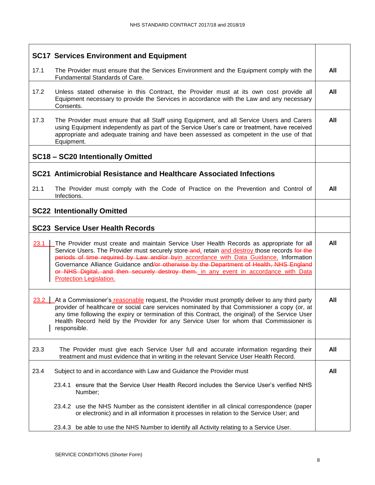| <b>SC17 Services Environment and Equipment</b>                                                                                                                                                                                                                                                                                                                                                                                                                                                           |     |
|----------------------------------------------------------------------------------------------------------------------------------------------------------------------------------------------------------------------------------------------------------------------------------------------------------------------------------------------------------------------------------------------------------------------------------------------------------------------------------------------------------|-----|
| 17.1<br>The Provider must ensure that the Services Environment and the Equipment comply with the<br>Fundamental Standards of Care.                                                                                                                                                                                                                                                                                                                                                                       | All |
| 17.2<br>Unless stated otherwise in this Contract, the Provider must at its own cost provide all<br>Equipment necessary to provide the Services in accordance with the Law and any necessary<br>Consents.                                                                                                                                                                                                                                                                                                 | All |
| 17.3<br>The Provider must ensure that all Staff using Equipment, and all Service Users and Carers<br>using Equipment independently as part of the Service User's care or treatment, have received<br>appropriate and adequate training and have been assessed as competent in the use of that<br>Equipment.                                                                                                                                                                                              | All |
| SC18 - SC20 Intentionally Omitted                                                                                                                                                                                                                                                                                                                                                                                                                                                                        |     |
| SC21 Antimicrobial Resistance and Healthcare Associated Infections                                                                                                                                                                                                                                                                                                                                                                                                                                       |     |
| 21.1<br>The Provider must comply with the Code of Practice on the Prevention and Control of<br>Infections.                                                                                                                                                                                                                                                                                                                                                                                               | All |
| <b>SC22 Intentionally Omitted</b>                                                                                                                                                                                                                                                                                                                                                                                                                                                                        |     |
| <b>SC23 Service User Health Records</b>                                                                                                                                                                                                                                                                                                                                                                                                                                                                  |     |
| 23.1<br>The Provider must create and maintain Service User Health Records as appropriate for all<br>Service Users. The Provider must securely store-and, retain and destroy those records for the<br>periods of time required by Law and/or byin accordance with Data Guidance, Information<br>Governance Alliance Guidance and/or otherwise by the Department of Health, NHS England<br>or NHS Digital, and then securely destroy them. in any event in accordance with Data<br>Protection Legislation. | All |
| 23.2<br>At a Commissioner's reasonable request, the Provider must promptly deliver to any third party<br>provider of healthcare or social care services nominated by that Commissioner a copy (or, at<br>any time following the expiry or termination of this Contract, the original) of the Service User<br>Health Record held by the Provider for any Service User for whom that Commissioner is<br>responsible.                                                                                       | All |
| 23.3<br>The Provider must give each Service User full and accurate information regarding their<br>treatment and must evidence that in writing in the relevant Service User Health Record.                                                                                                                                                                                                                                                                                                                | All |
| 23.4<br>Subject to and in accordance with Law and Guidance the Provider must                                                                                                                                                                                                                                                                                                                                                                                                                             | All |
| 23.4.1 ensure that the Service User Health Record includes the Service User's verified NHS<br>Number;                                                                                                                                                                                                                                                                                                                                                                                                    |     |
| 23.4.2 use the NHS Number as the consistent identifier in all clinical correspondence (paper<br>or electronic) and in all information it processes in relation to the Service User; and                                                                                                                                                                                                                                                                                                                  |     |
| be able to use the NHS Number to identify all Activity relating to a Service User.<br>23.4.3                                                                                                                                                                                                                                                                                                                                                                                                             |     |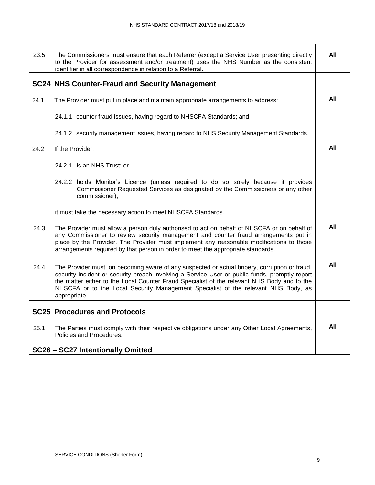| 23.5 | The Commissioners must ensure that each Referrer (except a Service User presenting directly<br>to the Provider for assessment and/or treatment) uses the NHS Number as the consistent<br>identifier in all correspondence in relation to a Referral.                                                                                                                                                 | All |
|------|------------------------------------------------------------------------------------------------------------------------------------------------------------------------------------------------------------------------------------------------------------------------------------------------------------------------------------------------------------------------------------------------------|-----|
|      | <b>SC24 NHS Counter-Fraud and Security Management</b>                                                                                                                                                                                                                                                                                                                                                |     |
| 24.1 | The Provider must put in place and maintain appropriate arrangements to address:                                                                                                                                                                                                                                                                                                                     | All |
|      | 24.1.1 counter fraud issues, having regard to NHSCFA Standards; and                                                                                                                                                                                                                                                                                                                                  |     |
|      | 24.1.2 security management issues, having regard to NHS Security Management Standards.                                                                                                                                                                                                                                                                                                               |     |
| 24.2 | If the Provider:                                                                                                                                                                                                                                                                                                                                                                                     | All |
|      | 24.2.1 is an NHS Trust; or                                                                                                                                                                                                                                                                                                                                                                           |     |
|      | 24.2.2 holds Monitor's Licence (unless required to do so solely because it provides<br>Commissioner Requested Services as designated by the Commissioners or any other<br>commissioner),                                                                                                                                                                                                             |     |
|      | it must take the necessary action to meet NHSCFA Standards.                                                                                                                                                                                                                                                                                                                                          |     |
| 24.3 | The Provider must allow a person duly authorised to act on behalf of NHSCFA or on behalf of<br>any Commissioner to review security management and counter fraud arrangements put in<br>place by the Provider. The Provider must implement any reasonable modifications to those<br>arrangements required by that person in order to meet the appropriate standards.                                  | All |
| 24.4 | The Provider must, on becoming aware of any suspected or actual bribery, corruption or fraud,<br>security incident or security breach involving a Service User or public funds, promptly report<br>the matter either to the Local Counter Fraud Specialist of the relevant NHS Body and to the<br>NHSCFA or to the Local Security Management Specialist of the relevant NHS Body, as<br>appropriate. | All |
|      | <b>SC25 Procedures and Protocols</b>                                                                                                                                                                                                                                                                                                                                                                 |     |
| 25.1 | The Parties must comply with their respective obligations under any Other Local Agreements,<br>Policies and Procedures.                                                                                                                                                                                                                                                                              | All |
|      | <b>SC26 - SC27 Intentionally Omitted</b>                                                                                                                                                                                                                                                                                                                                                             |     |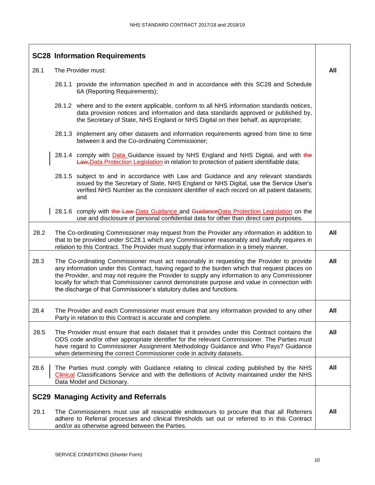|      | <b>SC28 Information Requirements</b>                                                                                                                                                                                                                                                                                                                                                                                                                             |     |
|------|------------------------------------------------------------------------------------------------------------------------------------------------------------------------------------------------------------------------------------------------------------------------------------------------------------------------------------------------------------------------------------------------------------------------------------------------------------------|-----|
| 28.1 | The Provider must:                                                                                                                                                                                                                                                                                                                                                                                                                                               | All |
|      | 28.1.1 provide the information specified in and in accordance with this SC28 and Schedule<br>6A (Reporting Requirements);                                                                                                                                                                                                                                                                                                                                        |     |
|      | 28.1.2 where and to the extent applicable, conform to all NHS information standards notices,<br>data provision notices and information and data standards approved or published by,<br>the Secretary of State, NHS England or NHS Digital on their behalf, as appropriate;                                                                                                                                                                                       |     |
|      | 28.1.3 implement any other datasets and information requirements agreed from time to time<br>between it and the Co-ordinating Commissioner;                                                                                                                                                                                                                                                                                                                      |     |
|      | 28.1.4 comply with <b>Data</b> Guidance issued by NHS England and NHS Digital, and with the<br>Law-Data Protection Legislation in relation to protection of patient identifiable data;                                                                                                                                                                                                                                                                           |     |
|      | 28.1.5 subject to and in accordance with Law and Guidance and any relevant standards<br>issued by the Secretary of State, NHS England or NHS Digital, use the Service User's<br>verified NHS Number as the consistent identifier of each record on all patient datasets;<br>and                                                                                                                                                                                  |     |
|      | 28.1.6 comply with the Law-Data Guidance and GuidanceData Protection Legislation on the<br>use and disclosure of personal confidential data for other than direct care purposes.                                                                                                                                                                                                                                                                                 |     |
| 28.2 | The Co-ordinating Commissioner may request from the Provider any information in addition to<br>that to be provided under SC28.1 which any Commissioner reasonably and lawfully requires in<br>relation to this Contract. The Provider must supply that information in a timely manner.                                                                                                                                                                           | All |
| 28.3 | The Co-ordinating Commissioner must act reasonably in requesting the Provider to provide<br>any information under this Contract, having regard to the burden which that request places on<br>the Provider, and may not require the Provider to supply any information to any Commissioner<br>locally for which that Commissioner cannot demonstrate purpose and value in connection with<br>the discharge of that Commissioner's statutory duties and functions. | All |
| 28.4 | The Provider and each Commissioner must ensure that any information provided to any other<br>Party in relation to this Contract is accurate and complete.                                                                                                                                                                                                                                                                                                        | All |
| 28.5 | The Provider must ensure that each dataset that it provides under this Contract contains the<br>ODS code and/or other appropriate identifier for the relevant Commissioner. The Parties must<br>have regard to Commissioner Assignment Methodology Guidance and Who Pays? Guidance<br>when determining the correct Commissioner code in activity datasets.                                                                                                       | All |
| 28.6 | The Parties must comply with Guidance relating to clinical coding published by the NHS<br><b>Clinical Classifications Service and with the definitions of Activity maintained under the NHS</b><br>Data Model and Dictionary.                                                                                                                                                                                                                                    | All |
|      | <b>SC29 Managing Activity and Referrals</b>                                                                                                                                                                                                                                                                                                                                                                                                                      |     |
| 29.1 | The Commissioners must use all reasonable endeavours to procure that that all Referrers<br>adhere to Referral processes and clinical thresholds set out or referred to in this Contract<br>and/or as otherwise agreed between the Parties.                                                                                                                                                                                                                       | All |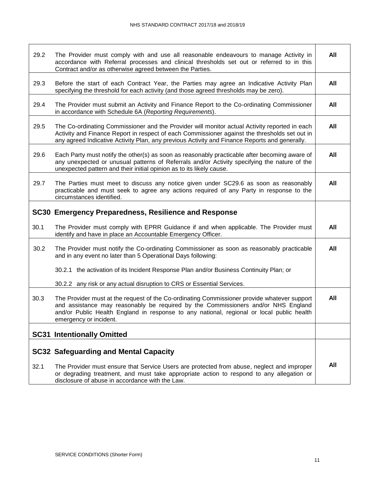| 29.2 | The Provider must comply with and use all reasonable endeavours to manage Activity in<br>accordance with Referral processes and clinical thresholds set out or referred to in this<br>Contract and/or as otherwise agreed between the Parties.                                                          | All |
|------|---------------------------------------------------------------------------------------------------------------------------------------------------------------------------------------------------------------------------------------------------------------------------------------------------------|-----|
| 29.3 | Before the start of each Contract Year, the Parties may agree an Indicative Activity Plan<br>specifying the threshold for each activity (and those agreed thresholds may be zero).                                                                                                                      | All |
| 29.4 | The Provider must submit an Activity and Finance Report to the Co-ordinating Commissioner<br>in accordance with Schedule 6A (Reporting Requirements).                                                                                                                                                   | All |
| 29.5 | The Co-ordinating Commissioner and the Provider will monitor actual Activity reported in each<br>Activity and Finance Report in respect of each Commissioner against the thresholds set out in<br>any agreed Indicative Activity Plan, any previous Activity and Finance Reports and generally.         | All |
| 29.6 | Each Party must notify the other(s) as soon as reasonably practicable after becoming aware of<br>any unexpected or unusual patterns of Referrals and/or Activity specifying the nature of the<br>unexpected pattern and their initial opinion as to its likely cause.                                   | All |
| 29.7 | The Parties must meet to discuss any notice given under SC29.6 as soon as reasonably<br>practicable and must seek to agree any actions required of any Party in response to the<br>circumstances identified.                                                                                            | All |
|      | SC30 Emergency Preparedness, Resilience and Response                                                                                                                                                                                                                                                    |     |
| 30.1 | The Provider must comply with EPRR Guidance if and when applicable. The Provider must<br>identify and have in place an Accountable Emergency Officer.                                                                                                                                                   | All |
| 30.2 | The Provider must notify the Co-ordinating Commissioner as soon as reasonably practicable<br>and in any event no later than 5 Operational Days following:                                                                                                                                               | All |
|      | 30.2.1 the activation of its Incident Response Plan and/or Business Continuity Plan; or                                                                                                                                                                                                                 |     |
|      | 30.2.2 any risk or any actual disruption to CRS or Essential Services.                                                                                                                                                                                                                                  |     |
| 30.3 | The Provider must at the request of the Co-ordinating Commissioner provide whatever support<br>and assistance may reasonably be required by the Commissioners and/or NHS England<br>and/or Public Health England in response to any national, regional or local public health<br>emergency or incident. | All |
|      | <b>SC31 Intentionally Omitted</b>                                                                                                                                                                                                                                                                       |     |
|      | <b>SC32 Safeguarding and Mental Capacity</b>                                                                                                                                                                                                                                                            |     |
| 32.1 | The Provider must ensure that Service Users are protected from abuse, neglect and improper<br>or degrading treatment, and must take appropriate action to respond to any allegation or<br>disclosure of abuse in accordance with the Law.                                                               | All |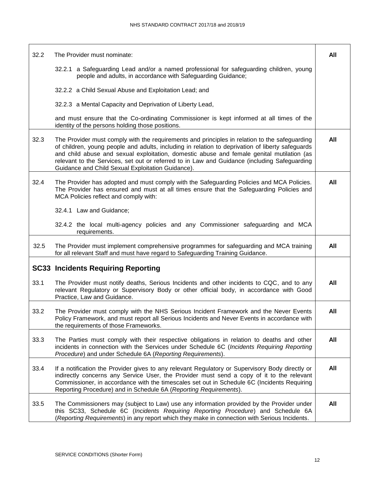| 32.2 | The Provider must nominate:                                                                                                                                                                                                                                                                                                                                                                                                                         | All |
|------|-----------------------------------------------------------------------------------------------------------------------------------------------------------------------------------------------------------------------------------------------------------------------------------------------------------------------------------------------------------------------------------------------------------------------------------------------------|-----|
|      | 32.2.1 a Safeguarding Lead and/or a named professional for safeguarding children, young<br>people and adults, in accordance with Safeguarding Guidance;                                                                                                                                                                                                                                                                                             |     |
|      | 32.2.2 a Child Sexual Abuse and Exploitation Lead; and                                                                                                                                                                                                                                                                                                                                                                                              |     |
|      | 32.2.3 a Mental Capacity and Deprivation of Liberty Lead,                                                                                                                                                                                                                                                                                                                                                                                           |     |
|      | and must ensure that the Co-ordinating Commissioner is kept informed at all times of the<br>identity of the persons holding those positions.                                                                                                                                                                                                                                                                                                        |     |
| 32.3 | The Provider must comply with the requirements and principles in relation to the safeguarding<br>of children, young people and adults, including in relation to deprivation of liberty safeguards<br>and child abuse and sexual exploitation, domestic abuse and female genital mutilation (as<br>relevant to the Services, set out or referred to in Law and Guidance (including Safeguarding<br>Guidance and Child Sexual Exploitation Guidance). | All |
| 32.4 | The Provider has adopted and must comply with the Safeguarding Policies and MCA Policies.<br>The Provider has ensured and must at all times ensure that the Safeguarding Policies and<br>MCA Policies reflect and comply with:                                                                                                                                                                                                                      | All |
|      | 32.4.1 Law and Guidance;                                                                                                                                                                                                                                                                                                                                                                                                                            |     |
|      | 32.4.2 the local multi-agency policies and any Commissioner safeguarding and MCA<br>requirements.                                                                                                                                                                                                                                                                                                                                                   |     |
| 32.5 | The Provider must implement comprehensive programmes for safeguarding and MCA training<br>for all relevant Staff and must have regard to Safeguarding Training Guidance.                                                                                                                                                                                                                                                                            | All |
|      | <b>SC33 Incidents Requiring Reporting</b>                                                                                                                                                                                                                                                                                                                                                                                                           |     |
| 33.1 | The Provider must notify deaths, Serious Incidents and other incidents to CQC, and to any<br>relevant Regulatory or Supervisory Body or other official body, in accordance with Good<br>Practice, Law and Guidance.                                                                                                                                                                                                                                 | All |
| 33.2 | The Provider must comply with the NHS Serious Incident Framework and the Never Events<br>Policy Framework, and must report all Serious Incidents and Never Events in accordance with<br>the requirements of those Frameworks.                                                                                                                                                                                                                       | All |
| 33.3 | The Parties must comply with their respective obligations in relation to deaths and other<br>incidents in connection with the Services under Schedule 6C (Incidents Requiring Reporting<br>Procedure) and under Schedule 6A (Reporting Requirements).                                                                                                                                                                                               | All |
| 33.4 | If a notification the Provider gives to any relevant Regulatory or Supervisory Body directly or<br>indirectly concerns any Service User, the Provider must send a copy of it to the relevant<br>Commissioner, in accordance with the timescales set out in Schedule 6C (Incidents Requiring<br>Reporting Procedure) and in Schedule 6A (Reporting Requirements).                                                                                    | All |
| 33.5 | The Commissioners may (subject to Law) use any information provided by the Provider under<br>this SC33, Schedule 6C (Incidents Requiring Reporting Procedure) and Schedule 6A<br>(Reporting Requirements) in any report which they make in connection with Serious Incidents.                                                                                                                                                                       | All |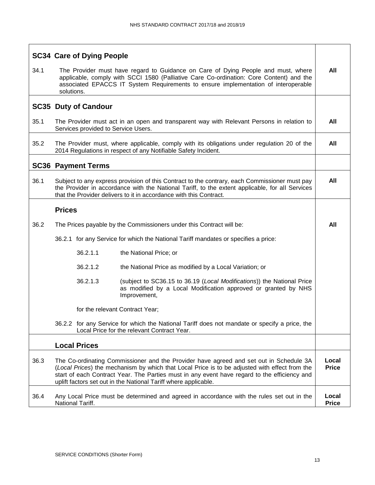|      | <b>SC34 Care of Dying People</b>                                                                                                                                                                                                                                                                                                                           |                       |  |
|------|------------------------------------------------------------------------------------------------------------------------------------------------------------------------------------------------------------------------------------------------------------------------------------------------------------------------------------------------------------|-----------------------|--|
| 34.1 | The Provider must have regard to Guidance on Care of Dying People and must, where<br>applicable, comply with SCCI 1580 (Palliative Care Co-ordination: Core Content) and the<br>associated EPACCS IT System Requirements to ensure implementation of interoperable<br>solutions.                                                                           |                       |  |
|      | <b>SC35 Duty of Candour</b>                                                                                                                                                                                                                                                                                                                                |                       |  |
| 35.1 | The Provider must act in an open and transparent way with Relevant Persons in relation to<br>Services provided to Service Users.                                                                                                                                                                                                                           | All                   |  |
| 35.2 | The Provider must, where applicable, comply with its obligations under regulation 20 of the<br>2014 Regulations in respect of any Notifiable Safety Incident.                                                                                                                                                                                              | All                   |  |
|      | <b>SC36 Payment Terms</b>                                                                                                                                                                                                                                                                                                                                  |                       |  |
| 36.1 | Subject to any express provision of this Contract to the contrary, each Commissioner must pay<br>the Provider in accordance with the National Tariff, to the extent applicable, for all Services<br>that the Provider delivers to it in accordance with this Contract.                                                                                     | All                   |  |
|      | <b>Prices</b>                                                                                                                                                                                                                                                                                                                                              |                       |  |
| 36.2 | The Prices payable by the Commissioners under this Contract will be:                                                                                                                                                                                                                                                                                       | All                   |  |
|      | 36.2.1 for any Service for which the National Tariff mandates or specifies a price:                                                                                                                                                                                                                                                                        |                       |  |
|      | 36.2.1.1<br>the National Price; or                                                                                                                                                                                                                                                                                                                         |                       |  |
|      | 36.2.1.2<br>the National Price as modified by a Local Variation; or                                                                                                                                                                                                                                                                                        |                       |  |
|      | 36.2.1.3<br>(subject to SC36.15 to 36.19 (Local Modifications)) the National Price<br>as modified by a Local Modification approved or granted by NHS<br>Improvement,                                                                                                                                                                                       |                       |  |
|      | for the relevant Contract Year;                                                                                                                                                                                                                                                                                                                            |                       |  |
|      | 36.2.2 for any Service for which the National Tariff does not mandate or specify a price, the<br>Local Price for the relevant Contract Year.                                                                                                                                                                                                               |                       |  |
|      | <b>Local Prices</b>                                                                                                                                                                                                                                                                                                                                        |                       |  |
| 36.3 | The Co-ordinating Commissioner and the Provider have agreed and set out in Schedule 3A<br>(Local Prices) the mechanism by which that Local Price is to be adjusted with effect from the<br>start of each Contract Year. The Parties must in any event have regard to the efficiency and<br>uplift factors set out in the National Tariff where applicable. | Local<br><b>Price</b> |  |
| 36.4 | Any Local Price must be determined and agreed in accordance with the rules set out in the<br>National Tariff.                                                                                                                                                                                                                                              | Local<br><b>Price</b> |  |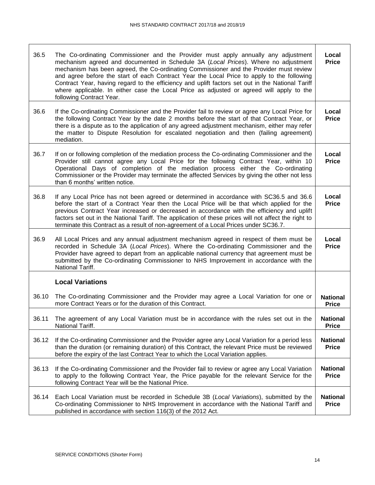| 36.5  | The Co-ordinating Commissioner and the Provider must apply annually any adjustment<br>mechanism agreed and documented in Schedule 3A (Local Prices). Where no adjustment<br>mechanism has been agreed, the Co-ordinating Commissioner and the Provider must review<br>and agree before the start of each Contract Year the Local Price to apply to the following<br>Contract Year, having regard to the efficiency and uplift factors set out in the National Tariff<br>where applicable. In either case the Local Price as adjusted or agreed will apply to the<br>following Contract Year. | Local<br><b>Price</b>           |
|-------|----------------------------------------------------------------------------------------------------------------------------------------------------------------------------------------------------------------------------------------------------------------------------------------------------------------------------------------------------------------------------------------------------------------------------------------------------------------------------------------------------------------------------------------------------------------------------------------------|---------------------------------|
| 36.6  | If the Co-ordinating Commissioner and the Provider fail to review or agree any Local Price for<br>the following Contract Year by the date 2 months before the start of that Contract Year, or<br>there is a dispute as to the application of any agreed adjustment mechanism, either may refer<br>the matter to Dispute Resolution for escalated negotiation and then (failing agreement)<br>mediation.                                                                                                                                                                                      | Local<br><b>Price</b>           |
| 36.7  | If on or following completion of the mediation process the Co-ordinating Commissioner and the<br>Provider still cannot agree any Local Price for the following Contract Year, within 10<br>Operational Days of completion of the mediation process either the Co-ordinating<br>Commissioner or the Provider may terminate the affected Services by giving the other not less<br>than 6 months' written notice.                                                                                                                                                                               | Local<br><b>Price</b>           |
| 36.8  | If any Local Price has not been agreed or determined in accordance with SC36.5 and 36.6<br>before the start of a Contract Year then the Local Price will be that which applied for the<br>previous Contract Year increased or decreased in accordance with the efficiency and uplift<br>factors set out in the National Tariff. The application of these prices will not affect the right to<br>terminate this Contract as a result of non-agreement of a Local Prices under SC36.7.                                                                                                         | Local<br><b>Price</b>           |
| 36.9  | All Local Prices and any annual adjustment mechanism agreed in respect of them must be<br>recorded in Schedule 3A (Local Prices). Where the Co-ordinating Commissioner and the<br>Provider have agreed to depart from an applicable national currency that agreement must be<br>submitted by the Co-ordinating Commissioner to NHS Improvement in accordance with the<br>National Tariff.                                                                                                                                                                                                    | Local<br><b>Price</b>           |
|       | <b>Local Variations</b>                                                                                                                                                                                                                                                                                                                                                                                                                                                                                                                                                                      |                                 |
| 36.10 | The Co-ordinating Commissioner and the Provider may agree a Local Variation for one or<br>more Contract Years or for the duration of this Contract.                                                                                                                                                                                                                                                                                                                                                                                                                                          | <b>National</b><br><b>Price</b> |
|       | 36.11 The agreement of any Local Variation must be in accordance with the rules set out in the<br>National Tariff.                                                                                                                                                                                                                                                                                                                                                                                                                                                                           | <b>National</b><br><b>Price</b> |
| 36.12 | If the Co-ordinating Commissioner and the Provider agree any Local Variation for a period less<br>than the duration (or remaining duration) of this Contract, the relevant Price must be reviewed<br>before the expiry of the last Contract Year to which the Local Variation applies.                                                                                                                                                                                                                                                                                                       | <b>National</b><br><b>Price</b> |
| 36.13 | If the Co-ordinating Commissioner and the Provider fail to review or agree any Local Variation<br>to apply to the following Contract Year, the Price payable for the relevant Service for the<br>following Contract Year will be the National Price.                                                                                                                                                                                                                                                                                                                                         | <b>National</b><br><b>Price</b> |
| 36.14 | Each Local Variation must be recorded in Schedule 3B (Local Variations), submitted by the<br>Co-ordinating Commissioner to NHS Improvement in accordance with the National Tariff and<br>published in accordance with section 116(3) of the 2012 Act.                                                                                                                                                                                                                                                                                                                                        | <b>National</b><br><b>Price</b> |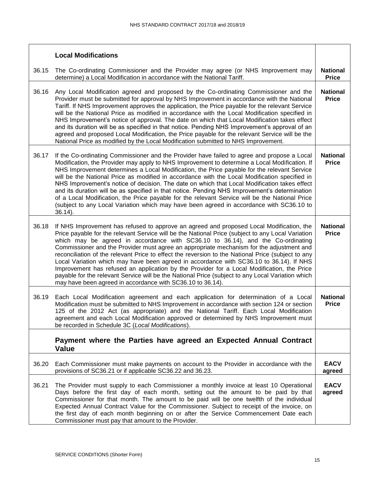|       | <b>Local Modifications</b>                                                                                                                                                                                                                                                                                                                                                                                                                                                                                                                                                                                                                                                                                                                                                                                                                     |                                 |
|-------|------------------------------------------------------------------------------------------------------------------------------------------------------------------------------------------------------------------------------------------------------------------------------------------------------------------------------------------------------------------------------------------------------------------------------------------------------------------------------------------------------------------------------------------------------------------------------------------------------------------------------------------------------------------------------------------------------------------------------------------------------------------------------------------------------------------------------------------------|---------------------------------|
| 36.15 | The Co-ordinating Commissioner and the Provider may agree (or NHS Improvement may<br>determine) a Local Modification in accordance with the National Tariff.                                                                                                                                                                                                                                                                                                                                                                                                                                                                                                                                                                                                                                                                                   | <b>National</b><br><b>Price</b> |
| 36.16 | Any Local Modification agreed and proposed by the Co-ordinating Commissioner and the<br>Provider must be submitted for approval by NHS Improvement in accordance with the National<br>Tariff. If NHS Improvement approves the application, the Price payable for the relevant Service<br>will be the National Price as modified in accordance with the Local Modification specified in<br>NHS Improvement's notice of approval. The date on which that Local Modification takes effect<br>and its duration will be as specified in that notice. Pending NHS Improvement's approval of an<br>agreed and proposed Local Modification, the Price payable for the relevant Service will be the<br>National Price as modified by the Local Modification submitted to NHS Improvement.                                                               | <b>National</b><br><b>Price</b> |
| 36.17 | If the Co-ordinating Commissioner and the Provider have failed to agree and propose a Local<br>Modification, the Provider may apply to NHS Improvement to determine a Local Modification. If<br>NHS Improvement determines a Local Modification, the Price payable for the relevant Service<br>will be the National Price as modified in accordance with the Local Modification specified in<br>NHS Improvement's notice of decision. The date on which that Local Modification takes effect<br>and its duration will be as specified in that notice. Pending NHS Improvement's determination<br>of a Local Modification, the Price payable for the relevant Service will be the National Price<br>(subject to any Local Variation which may have been agreed in accordance with SC36.10 to<br>$36.14$ ).                                      | <b>National</b><br><b>Price</b> |
| 36.18 | If NHS Improvement has refused to approve an agreed and proposed Local Modification, the<br>Price payable for the relevant Service will be the National Price (subject to any Local Variation<br>which may be agreed in accordance with SC36.10 to 36.14), and the Co-ordinating<br>Commissioner and the Provider must agree an appropriate mechanism for the adjustment and<br>reconciliation of the relevant Price to effect the reversion to the National Price (subject to any<br>Local Variation which may have been agreed in accordance with SC36.10 to 36.14). If NHS<br>Improvement has refused an application by the Provider for a Local Modification, the Price<br>payable for the relevant Service will be the National Price (subject to any Local Variation which<br>may have been agreed in accordance with SC36.10 to 36.14). | <b>National</b><br><b>Price</b> |
| 36.19 | Each Local Modification agreement and each application for determination of a Local<br>Modification must be submitted to NHS Improvement in accordance with section 124 or section<br>125 of the 2012 Act (as appropriate) and the National Tariff. Each Local Modification<br>agreement and each Local Modification approved or determined by NHS Improvement must<br>be recorded in Schedule 3C (Local Modifications).                                                                                                                                                                                                                                                                                                                                                                                                                       | <b>National</b><br><b>Price</b> |
|       | Payment where the Parties have agreed an Expected Annual Contract<br><b>Value</b>                                                                                                                                                                                                                                                                                                                                                                                                                                                                                                                                                                                                                                                                                                                                                              |                                 |
| 36.20 | Each Commissioner must make payments on account to the Provider in accordance with the<br>provisions of SC36.21 or if applicable SC36.22 and 36.23.                                                                                                                                                                                                                                                                                                                                                                                                                                                                                                                                                                                                                                                                                            | <b>EACV</b><br>agreed           |
| 36.21 | The Provider must supply to each Commissioner a monthly invoice at least 10 Operational<br>Days before the first day of each month, setting out the amount to be paid by that<br>Commissioner for that month. The amount to be paid will be one twelfth of the individual<br>Expected Annual Contract Value for the Commissioner. Subject to receipt of the invoice, on<br>the first day of each month beginning on or after the Service Commencement Date each<br>Commissioner must pay that amount to the Provider.                                                                                                                                                                                                                                                                                                                          | <b>EACV</b><br>agreed           |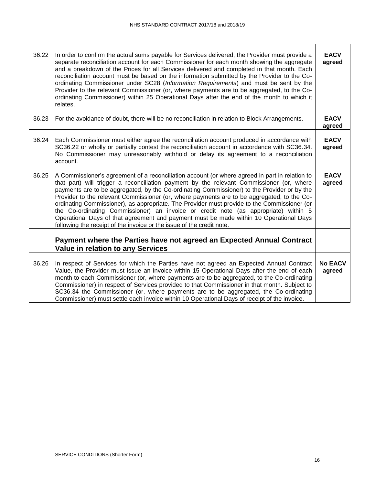| 36.22 | In order to confirm the actual sums payable for Services delivered, the Provider must provide a<br>separate reconciliation account for each Commissioner for each month showing the aggregate<br>and a breakdown of the Prices for all Services delivered and completed in that month. Each<br>reconciliation account must be based on the information submitted by the Provider to the Co-<br>ordinating Commissioner under SC28 (Information Requirements) and must be sent by the<br>Provider to the relevant Commissioner (or, where payments are to be aggregated, to the Co-<br>ordinating Commissioner) within 25 Operational Days after the end of the month to which it<br>relates.                                                     | <b>EACV</b><br>agreed    |
|-------|--------------------------------------------------------------------------------------------------------------------------------------------------------------------------------------------------------------------------------------------------------------------------------------------------------------------------------------------------------------------------------------------------------------------------------------------------------------------------------------------------------------------------------------------------------------------------------------------------------------------------------------------------------------------------------------------------------------------------------------------------|--------------------------|
|       | 36.23 For the avoidance of doubt, there will be no reconciliation in relation to Block Arrangements.                                                                                                                                                                                                                                                                                                                                                                                                                                                                                                                                                                                                                                             | <b>EACV</b><br>agreed    |
| 36.24 | Each Commissioner must either agree the reconciliation account produced in accordance with<br>SC36.22 or wholly or partially contest the reconciliation account in accordance with SC36.34.<br>No Commissioner may unreasonably withhold or delay its agreement to a reconciliation<br>account.                                                                                                                                                                                                                                                                                                                                                                                                                                                  | <b>EACV</b><br>agreed    |
| 36.25 | A Commissioner's agreement of a reconciliation account (or where agreed in part in relation to<br>that part) will trigger a reconciliation payment by the relevant Commissioner (or, where<br>payments are to be aggregated, by the Co-ordinating Commissioner) to the Provider or by the<br>Provider to the relevant Commissioner (or, where payments are to be aggregated, to the Co-<br>ordinating Commissioner), as appropriate. The Provider must provide to the Commissioner (or<br>the Co-ordinating Commissioner) an invoice or credit note (as appropriate) within 5<br>Operational Days of that agreement and payment must be made within 10 Operational Days<br>following the receipt of the invoice or the issue of the credit note. | <b>EACV</b><br>agreed    |
|       | Payment where the Parties have not agreed an Expected Annual Contract<br><b>Value in relation to any Services</b>                                                                                                                                                                                                                                                                                                                                                                                                                                                                                                                                                                                                                                |                          |
| 36.26 | In respect of Services for which the Parties have not agreed an Expected Annual Contract<br>Value, the Provider must issue an invoice within 15 Operational Days after the end of each<br>month to each Commissioner (or, where payments are to be aggregated, to the Co-ordinating<br>Commissioner) in respect of Services provided to that Commissioner in that month. Subject to<br>SC36.34 the Commissioner (or, where payments are to be aggregated, the Co-ordinating<br>Commissioner) must settle each invoice within 10 Operational Days of receipt of the invoice.                                                                                                                                                                      | <b>No EACV</b><br>agreed |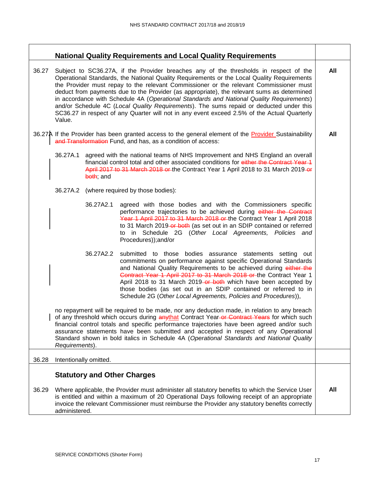|       |                                                                                                                                                                                                                                                                                                                                                                                                                                                                                                                                                                                                                                                                             |           | <b>National Quality Requirements and Local Quality Requirements</b>                                                                                                                                                                                                                                                                                                                                                                                                                  |     |
|-------|-----------------------------------------------------------------------------------------------------------------------------------------------------------------------------------------------------------------------------------------------------------------------------------------------------------------------------------------------------------------------------------------------------------------------------------------------------------------------------------------------------------------------------------------------------------------------------------------------------------------------------------------------------------------------------|-----------|--------------------------------------------------------------------------------------------------------------------------------------------------------------------------------------------------------------------------------------------------------------------------------------------------------------------------------------------------------------------------------------------------------------------------------------------------------------------------------------|-----|
| 36.27 | Subject to SC36.27A, if the Provider breaches any of the thresholds in respect of the<br>Operational Standards, the National Quality Requirements or the Local Quality Requirements<br>the Provider must repay to the relevant Commissioner or the relevant Commissioner must<br>deduct from payments due to the Provider (as appropriate), the relevant sums as determined<br>in accordance with Schedule 4A (Operational Standards and National Quality Requirements)<br>and/or Schedule 4C (Local Quality Requirements). The sums repaid or deducted under this<br>SC36.27 in respect of any Quarter will not in any event exceed 2.5% of the Actual Quarterly<br>Value. |           |                                                                                                                                                                                                                                                                                                                                                                                                                                                                                      |     |
|       |                                                                                                                                                                                                                                                                                                                                                                                                                                                                                                                                                                                                                                                                             |           | 36.27A If the Provider has been granted access to the general element of the <b>Provider</b> Sustainability<br>and Transformation Fund, and has, as a condition of access:                                                                                                                                                                                                                                                                                                           | All |
|       | 36.27A.1                                                                                                                                                                                                                                                                                                                                                                                                                                                                                                                                                                                                                                                                    | both, and | agreed with the national teams of NHS Improvement and NHS England an overall<br>financial control total and other associated conditions for either the Contract Year 1<br>April 2017 to 31 March 2018 or the Contract Year 1 April 2018 to 31 March 2019 or                                                                                                                                                                                                                          |     |
|       |                                                                                                                                                                                                                                                                                                                                                                                                                                                                                                                                                                                                                                                                             |           | 36.27A.2 (where required by those bodies):                                                                                                                                                                                                                                                                                                                                                                                                                                           |     |
|       |                                                                                                                                                                                                                                                                                                                                                                                                                                                                                                                                                                                                                                                                             | 36.27A2.1 | agreed with those bodies and with the Commissioners specific<br>performance trajectories to be achieved during either the Contract<br>Year 1 April 2017 to 31 March 2018 or the Contract Year 1 April 2018<br>to 31 March 2019-or both (as set out in an SDIP contained or referred<br>to in Schedule 2G (Other Local Agreements, Policies and<br>Procedures));and/or                                                                                                                |     |
|       |                                                                                                                                                                                                                                                                                                                                                                                                                                                                                                                                                                                                                                                                             | 36.27A2.2 | submitted to those bodies assurance statements setting out<br>commitments on performance against specific Operational Standards<br>and National Quality Requirements to be achieved during either the<br>Contract Year 1 April 2017 to 31 March 2018 or the Contract Year 1<br>April 2018 to 31 March 2019 or both which have been accepted by<br>those bodies (as set out in an SDIP contained or referred to in<br>Schedule 2G (Other Local Agreements, Policies and Procedures)), |     |
|       | no repayment will be required to be made, nor any deduction made, in relation to any breach<br>of any threshold which occurs during anythat Contract Year-or Contract Years for which such<br>financial control totals and specific performance trajectories have been agreed and/or such<br>assurance statements have been submitted and accepted in respect of any Operational<br>Standard shown in bold italics in Schedule 4A (Operational Standards and National Quality<br>Requirements).                                                                                                                                                                             |           |                                                                                                                                                                                                                                                                                                                                                                                                                                                                                      |     |
| 36.28 | Intentionally omitted.                                                                                                                                                                                                                                                                                                                                                                                                                                                                                                                                                                                                                                                      |           |                                                                                                                                                                                                                                                                                                                                                                                                                                                                                      |     |
|       | <b>Statutory and Other Charges</b>                                                                                                                                                                                                                                                                                                                                                                                                                                                                                                                                                                                                                                          |           |                                                                                                                                                                                                                                                                                                                                                                                                                                                                                      |     |
| 36.29 | Where applicable, the Provider must administer all statutory benefits to which the Service User<br>is entitled and within a maximum of 20 Operational Days following receipt of an appropriate<br>invoice the relevant Commissioner must reimburse the Provider any statutory benefits correctly<br>administered.                                                                                                                                                                                                                                                                                                                                                           |           |                                                                                                                                                                                                                                                                                                                                                                                                                                                                                      | All |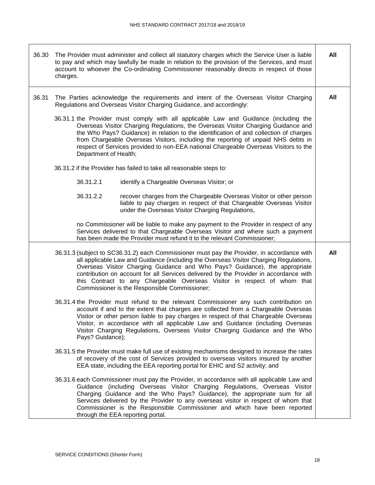| 36.30 | The Provider must administer and collect all statutory charges which the Service User is liable<br>to pay and which may lawfully be made in relation to the provision of the Services, and must<br>account to whoever the Co-ordinating Commissioner reasonably directs in respect of those<br>charges.                                                                                                                                                                                  |                                                                                                                                                                                                                                                                                                                                                                                                                                                                 |  |  |
|-------|------------------------------------------------------------------------------------------------------------------------------------------------------------------------------------------------------------------------------------------------------------------------------------------------------------------------------------------------------------------------------------------------------------------------------------------------------------------------------------------|-----------------------------------------------------------------------------------------------------------------------------------------------------------------------------------------------------------------------------------------------------------------------------------------------------------------------------------------------------------------------------------------------------------------------------------------------------------------|--|--|
| 36.31 | The Parties acknowledge the requirements and intent of the Overseas Visitor Charging<br>Regulations and Overseas Visitor Charging Guidance, and accordingly:                                                                                                                                                                                                                                                                                                                             |                                                                                                                                                                                                                                                                                                                                                                                                                                                                 |  |  |
|       | 36.31.1 the Provider must comply with all applicable Law and Guidance (including the<br>Overseas Visitor Charging Regulations, the Overseas Visitor Charging Guidance and<br>the Who Pays? Guidance) in relation to the identification of and collection of charges<br>from Chargeable Overseas Visitors, including the reporting of unpaid NHS debts in<br>respect of Services provided to non-EEA national Chargeable Overseas Visitors to the<br>Department of Health;                |                                                                                                                                                                                                                                                                                                                                                                                                                                                                 |  |  |
|       |                                                                                                                                                                                                                                                                                                                                                                                                                                                                                          | 36.31.2 if the Provider has failed to take all reasonable steps to:                                                                                                                                                                                                                                                                                                                                                                                             |  |  |
|       | 36.31.2.1                                                                                                                                                                                                                                                                                                                                                                                                                                                                                | identify a Chargeable Overseas Visitor; or                                                                                                                                                                                                                                                                                                                                                                                                                      |  |  |
|       | 36.31.2.2                                                                                                                                                                                                                                                                                                                                                                                                                                                                                | recover charges from the Chargeable Overseas Visitor or other person<br>liable to pay charges in respect of that Chargeable Overseas Visitor<br>under the Overseas Visitor Charging Regulations,                                                                                                                                                                                                                                                                |  |  |
|       |                                                                                                                                                                                                                                                                                                                                                                                                                                                                                          | no Commissioner will be liable to make any payment to the Provider in respect of any<br>Services delivered to that Chargeable Overseas Visitor and where such a payment<br>has been made the Provider must refund it to the relevant Commissioner;                                                                                                                                                                                                              |  |  |
|       | 36.31.3 (subject to SC36.31.2) each Commissioner must pay the Provider, in accordance with<br>all applicable Law and Guidance (including the Overseas Visitor Charging Regulations,<br>Overseas Visitor Charging Guidance and Who Pays? Guidance), the appropriate<br>contribution on account for all Services delivered by the Provider in accordance with<br>this Contract to any Chargeable Overseas Visitor in respect of whom that<br>Commissioner is the Responsible Commissioner; |                                                                                                                                                                                                                                                                                                                                                                                                                                                                 |  |  |
|       | Pays? Guidance);                                                                                                                                                                                                                                                                                                                                                                                                                                                                         | 36.31.4 the Provider must refund to the relevant Commissioner any such contribution on<br>account if and to the extent that charges are collected from a Chargeable Overseas<br>Visitor or other person liable to pay charges in respect of that Chargeable Overseas<br>Visitor, in accordance with all applicable Law and Guidance (including Overseas<br>Visitor Charging Regulations, Overseas Visitor Charging Guidance and the Who                         |  |  |
|       |                                                                                                                                                                                                                                                                                                                                                                                                                                                                                          | 36.31.5 the Provider must make full use of existing mechanisms designed to increase the rates<br>of recovery of the cost of Services provided to overseas visitors insured by another<br>EEA state, including the EEA reporting portal for EHIC and S2 activity; and                                                                                                                                                                                            |  |  |
|       |                                                                                                                                                                                                                                                                                                                                                                                                                                                                                          | 36.31.6 each Commissioner must pay the Provider, in accordance with all applicable Law and<br>Guidance (including Overseas Visitor Charging Regulations, Overseas Visitor<br>Charging Guidance and the Who Pays? Guidance), the appropriate sum for all<br>Services delivered by the Provider to any overseas visitor in respect of whom that<br>Commissioner is the Responsible Commissioner and which have been reported<br>through the EEA reporting portal. |  |  |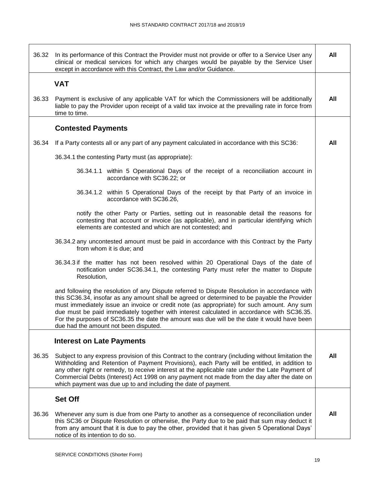| 36.32 | In its performance of this Contract the Provider must not provide or offer to a Service User any<br>clinical or medical services for which any charges would be payable by the Service User<br>except in accordance with this Contract, the Law and/or Guidance.                                                                                                                                                                                                                                                                  | All |
|-------|-----------------------------------------------------------------------------------------------------------------------------------------------------------------------------------------------------------------------------------------------------------------------------------------------------------------------------------------------------------------------------------------------------------------------------------------------------------------------------------------------------------------------------------|-----|
|       | <b>VAT</b>                                                                                                                                                                                                                                                                                                                                                                                                                                                                                                                        |     |
| 36.33 | Payment is exclusive of any applicable VAT for which the Commissioners will be additionally<br>liable to pay the Provider upon receipt of a valid tax invoice at the prevailing rate in force from<br>time to time.                                                                                                                                                                                                                                                                                                               | All |
|       | <b>Contested Payments</b>                                                                                                                                                                                                                                                                                                                                                                                                                                                                                                         |     |
| 36.34 | If a Party contests all or any part of any payment calculated in accordance with this SC36:                                                                                                                                                                                                                                                                                                                                                                                                                                       | All |
|       | 36.34.1 the contesting Party must (as appropriate):                                                                                                                                                                                                                                                                                                                                                                                                                                                                               |     |
|       | 36.34.1.1 within 5 Operational Days of the receipt of a reconciliation account in<br>accordance with SC36.22; or                                                                                                                                                                                                                                                                                                                                                                                                                  |     |
|       | 36.34.1.2 within 5 Operational Days of the receipt by that Party of an invoice in<br>accordance with SC36.26,                                                                                                                                                                                                                                                                                                                                                                                                                     |     |
|       | notify the other Party or Parties, setting out in reasonable detail the reasons for<br>contesting that account or invoice (as applicable), and in particular identifying which<br>elements are contested and which are not contested; and                                                                                                                                                                                                                                                                                         |     |
|       | 36.34.2 any uncontested amount must be paid in accordance with this Contract by the Party<br>from whom it is due; and                                                                                                                                                                                                                                                                                                                                                                                                             |     |
|       | 36.34.3 if the matter has not been resolved within 20 Operational Days of the date of<br>notification under SC36.34.1, the contesting Party must refer the matter to Dispute<br>Resolution,                                                                                                                                                                                                                                                                                                                                       |     |
|       | and following the resolution of any Dispute referred to Dispute Resolution in accordance with<br>this SC36.34, insofar as any amount shall be agreed or determined to be payable the Provider<br>must immediately issue an invoice or credit note (as appropriate) for such amount. Any sum<br>due must be paid immediately together with interest calculated in accordance with SC36.35.<br>For the purposes of SC36.35 the date the amount was due will be the date it would have been<br>due had the amount not been disputed. |     |
|       | <b>Interest on Late Payments</b>                                                                                                                                                                                                                                                                                                                                                                                                                                                                                                  |     |
| 36.35 | Subject to any express provision of this Contract to the contrary (including without limitation the<br>Withholding and Retention of Payment Provisions), each Party will be entitled, in addition to<br>any other right or remedy, to receive interest at the applicable rate under the Late Payment of<br>Commercial Debts (Interest) Act 1998 on any payment not made from the day after the date on<br>which payment was due up to and including the date of payment.                                                          | All |
|       | <b>Set Off</b>                                                                                                                                                                                                                                                                                                                                                                                                                                                                                                                    |     |
| 36.36 | Whenever any sum is due from one Party to another as a consequence of reconciliation under<br>this SC36 or Dispute Resolution or otherwise, the Party due to be paid that sum may deduct it<br>from any amount that it is due to pay the other, provided that it has given 5 Operational Days'<br>notice of its intention to do so.                                                                                                                                                                                               | All |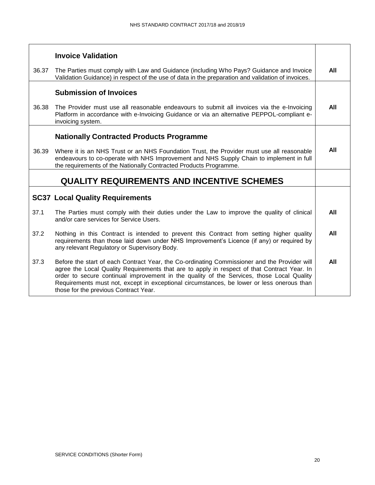|       | <b>Invoice Validation</b>                                                                                                                                                                                                                                                                                                                                                             |     |
|-------|---------------------------------------------------------------------------------------------------------------------------------------------------------------------------------------------------------------------------------------------------------------------------------------------------------------------------------------------------------------------------------------|-----|
| 36.37 | The Parties must comply with Law and Guidance (including Who Pays? Guidance and Invoice<br>Validation Guidance) in respect of the use of data in the preparation and validation of invoices.                                                                                                                                                                                          | All |
|       | <b>Submission of Invoices</b>                                                                                                                                                                                                                                                                                                                                                         |     |
| 36.38 | The Provider must use all reasonable endeavours to submit all invoices via the e-Invoicing<br>Platform in accordance with e-Invoicing Guidance or via an alternative PEPPOL-compliant e-<br>invoicing system.                                                                                                                                                                         | All |
|       | <b>Nationally Contracted Products Programme</b>                                                                                                                                                                                                                                                                                                                                       |     |
| 36.39 | Where it is an NHS Trust or an NHS Foundation Trust, the Provider must use all reasonable<br>endeavours to co-operate with NHS Improvement and NHS Supply Chain to implement in full<br>the requirements of the Nationally Contracted Products Programme.                                                                                                                             | All |
|       | <b>QUALITY REQUIREMENTS AND INCENTIVE SCHEMES</b>                                                                                                                                                                                                                                                                                                                                     |     |
|       | <b>SC37 Local Quality Requirements</b>                                                                                                                                                                                                                                                                                                                                                |     |
| 37.1  | The Parties must comply with their duties under the Law to improve the quality of clinical<br>and/or care services for Service Users.                                                                                                                                                                                                                                                 | All |
| 37.2  | Nothing in this Contract is intended to prevent this Contract from setting higher quality<br>requirements than those laid down under NHS Improvement's Licence (if any) or required by<br>any relevant Regulatory or Supervisory Body.                                                                                                                                                | All |
| 37.3  | Before the start of each Contract Year, the Co-ordinating Commissioner and the Provider will<br>agree the Local Quality Requirements that are to apply in respect of that Contract Year. In<br>order to secure continual improvement in the quality of the Services, those Local Quality<br>Requirements must not, except in exceptional circumstances, be lower or less onerous than | All |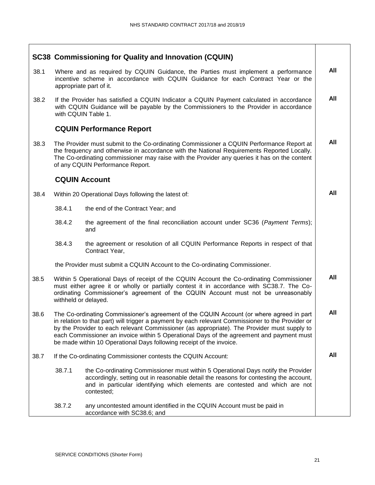|      |                                                                                                                                                                                                                                                                                                                                                                                                                                                                  | <b>SC38 Commissioning for Quality and Innovation (CQUIN)</b>                                                                                                                                                                                                             |     |  |
|------|------------------------------------------------------------------------------------------------------------------------------------------------------------------------------------------------------------------------------------------------------------------------------------------------------------------------------------------------------------------------------------------------------------------------------------------------------------------|--------------------------------------------------------------------------------------------------------------------------------------------------------------------------------------------------------------------------------------------------------------------------|-----|--|
| 38.1 | Where and as required by CQUIN Guidance, the Parties must implement a performance<br>incentive scheme in accordance with CQUIN Guidance for each Contract Year or the<br>appropriate part of it.                                                                                                                                                                                                                                                                 |                                                                                                                                                                                                                                                                          |     |  |
| 38.2 |                                                                                                                                                                                                                                                                                                                                                                                                                                                                  | If the Provider has satisfied a CQUIN Indicator a CQUIN Payment calculated in accordance<br>with CQUIN Guidance will be payable by the Commissioners to the Provider in accordance<br>with CQUIN Table 1.                                                                |     |  |
|      |                                                                                                                                                                                                                                                                                                                                                                                                                                                                  | <b>CQUIN Performance Report</b>                                                                                                                                                                                                                                          |     |  |
| 38.3 | The Provider must submit to the Co-ordinating Commissioner a CQUIN Performance Report at<br>the frequency and otherwise in accordance with the National Requirements Reported Locally.<br>The Co-ordinating commissioner may raise with the Provider any queries it has on the content<br>of any CQUIN Performance Report.                                                                                                                                       |                                                                                                                                                                                                                                                                          |     |  |
|      |                                                                                                                                                                                                                                                                                                                                                                                                                                                                  | <b>CQUIN Account</b>                                                                                                                                                                                                                                                     |     |  |
| 38.4 |                                                                                                                                                                                                                                                                                                                                                                                                                                                                  | Within 20 Operational Days following the latest of:                                                                                                                                                                                                                      | All |  |
|      | 38.4.1                                                                                                                                                                                                                                                                                                                                                                                                                                                           | the end of the Contract Year; and                                                                                                                                                                                                                                        |     |  |
|      | 38.4.2                                                                                                                                                                                                                                                                                                                                                                                                                                                           | the agreement of the final reconciliation account under SC36 (Payment Terms);<br>and                                                                                                                                                                                     |     |  |
|      | 38.4.3                                                                                                                                                                                                                                                                                                                                                                                                                                                           | the agreement or resolution of all CQUIN Performance Reports in respect of that<br>Contract Year,                                                                                                                                                                        |     |  |
|      | the Provider must submit a CQUIN Account to the Co-ordinating Commissioner.                                                                                                                                                                                                                                                                                                                                                                                      |                                                                                                                                                                                                                                                                          |     |  |
| 38.5 | Within 5 Operational Days of receipt of the CQUIN Account the Co-ordinating Commissioner<br>must either agree it or wholly or partially contest it in accordance with SC38.7. The Co-<br>ordinating Commissioner's agreement of the CQUIN Account must not be unreasonably<br>withheld or delayed.                                                                                                                                                               |                                                                                                                                                                                                                                                                          |     |  |
| 38.6 | The Co-ordinating Commissioner's agreement of the CQUIN Account (or where agreed in part<br>in relation to that part) will trigger a payment by each relevant Commissioner to the Provider or<br>by the Provider to each relevant Commissioner (as appropriate). The Provider must supply to<br>each Commissioner an invoice within 5 Operational Days of the agreement and payment must<br>be made within 10 Operational Days following receipt of the invoice. |                                                                                                                                                                                                                                                                          |     |  |
| 38.7 |                                                                                                                                                                                                                                                                                                                                                                                                                                                                  | If the Co-ordinating Commissioner contests the CQUIN Account:                                                                                                                                                                                                            | All |  |
|      | 38.7.1                                                                                                                                                                                                                                                                                                                                                                                                                                                           | the Co-ordinating Commissioner must within 5 Operational Days notify the Provider<br>accordingly, setting out in reasonable detail the reasons for contesting the account,<br>and in particular identifying which elements are contested and which are not<br>contested; |     |  |
|      | 38.7.2                                                                                                                                                                                                                                                                                                                                                                                                                                                           | any uncontested amount identified in the CQUIN Account must be paid in<br>accordance with SC38.6; and                                                                                                                                                                    |     |  |